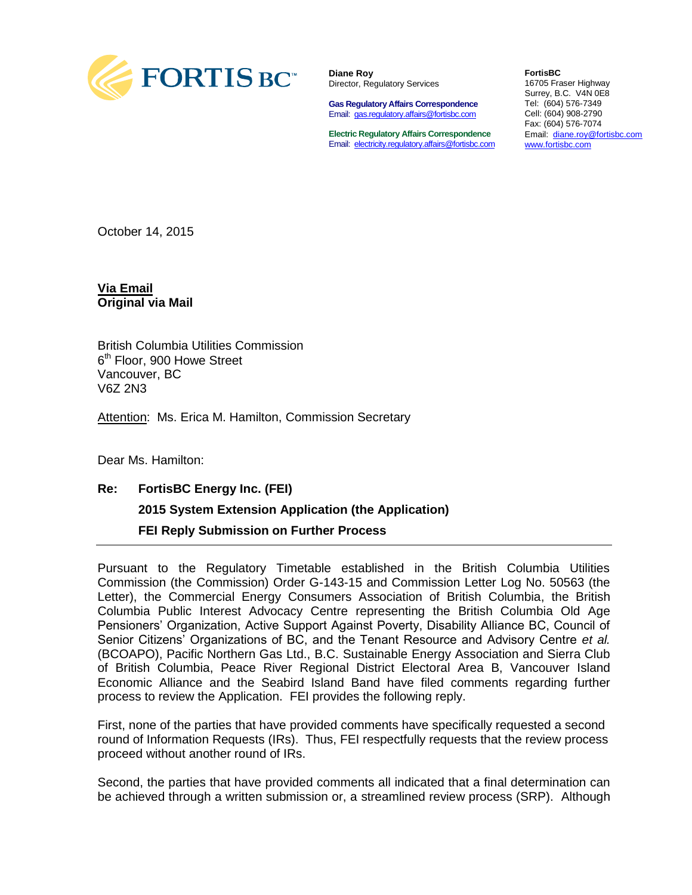

**Diane Roy** Director, Regulatory Services

**Gas Regulatory Affairs Correspondence** Email: [gas.regulatory.affairs@fortisbc.com](mailto:gas.regulatory.affairs@fortisbc.com)

**Electric Regulatory Affairs Correspondence** Email: [electricity.regulatory.affairs@fortisbc.com](mailto:electricity.regulatory.affairs@fortisbc.com)

**FortisBC**  16705 Fraser Highway Surrey, B.C. V4N 0E8 Tel: (604) 576-7349 Cell: (604) 908-2790 Fax: (604) 576-7074 Email: [diane.roy@fortisbc.com](mailto:diane.roy@fortisbc.com)  [www.fortisbc.com](http://www.fortisbc.com/)

October 14, 2015

**Via Email Original via Mail**

British Columbia Utilities Commission 6<sup>th</sup> Floor, 900 Howe Street Vancouver, BC V6Z 2N3

Attention: Ms. Erica M. Hamilton, Commission Secretary

Dear Ms. Hamilton:

## **Re: FortisBC Energy Inc. (FEI) 2015 System Extension Application (the Application) FEI Reply Submission on Further Process**

Pursuant to the Regulatory Timetable established in the British Columbia Utilities Commission (the Commission) Order G-143-15 and Commission Letter Log No. 50563 (the Letter), the Commercial Energy Consumers Association of British Columbia, the British Columbia Public Interest Advocacy Centre representing the British Columbia Old Age Pensioners' Organization, Active Support Against Poverty, Disability Alliance BC, Council of Senior Citizens' Organizations of BC, and the Tenant Resource and Advisory Centre *et al.* (BCOAPO), Pacific Northern Gas Ltd., B.C. Sustainable Energy Association and Sierra Club of British Columbia, Peace River Regional District Electoral Area B, Vancouver Island Economic Alliance and the Seabird Island Band have filed comments regarding further process to review the Application. FEI provides the following reply.

First, none of the parties that have provided comments have specifically requested a second round of Information Requests (IRs). Thus, FEI respectfully requests that the review process proceed without another round of IRs.

Second, the parties that have provided comments all indicated that a final determination can be achieved through a written submission or, a streamlined review process (SRP). Although